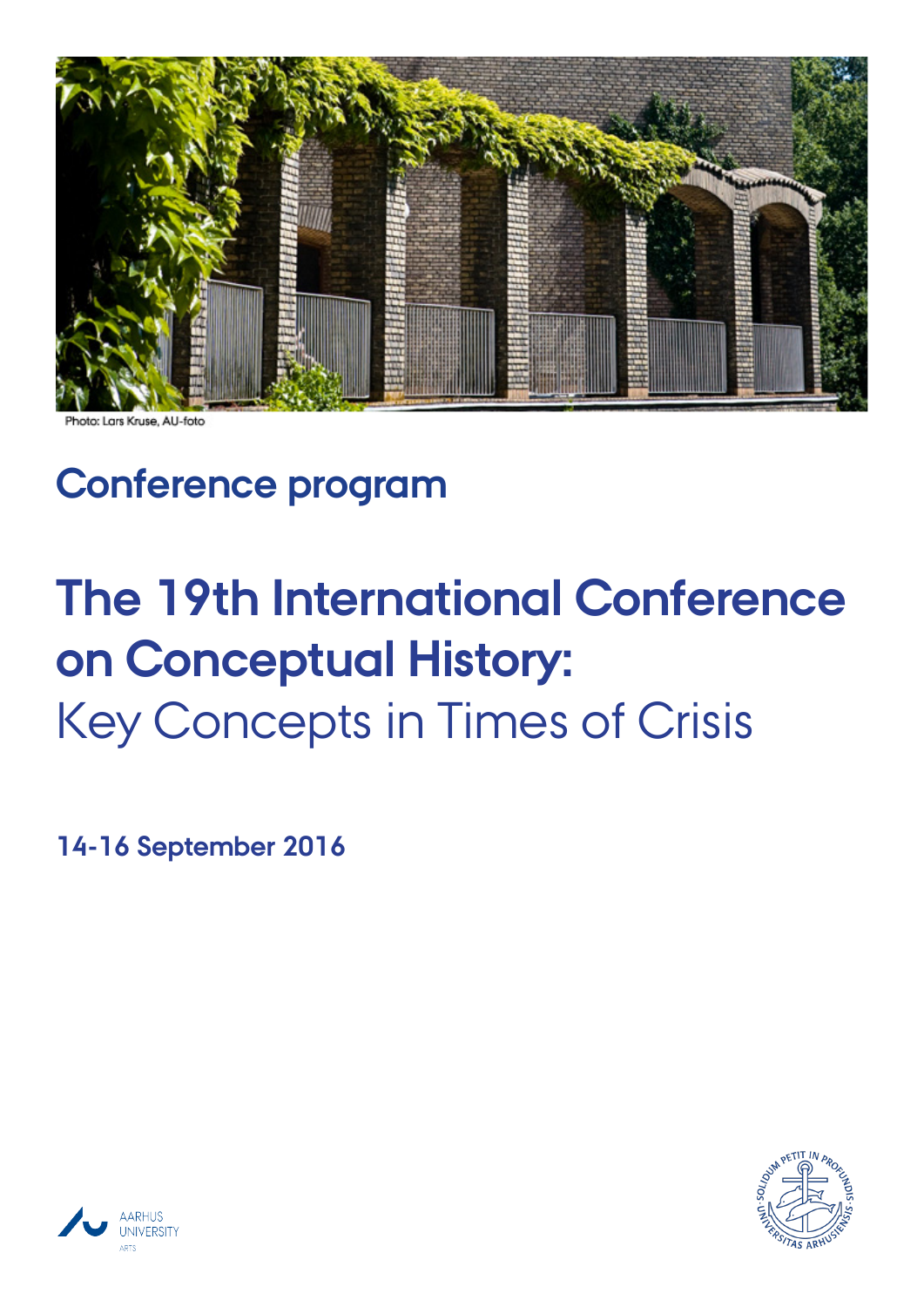

Photo: Lars Kruse, AU-foto

## **Conference program**

# **The 19th International Conference on Conceptual History:** Key Concepts in Times of Crisis

**14-16 September 2016**



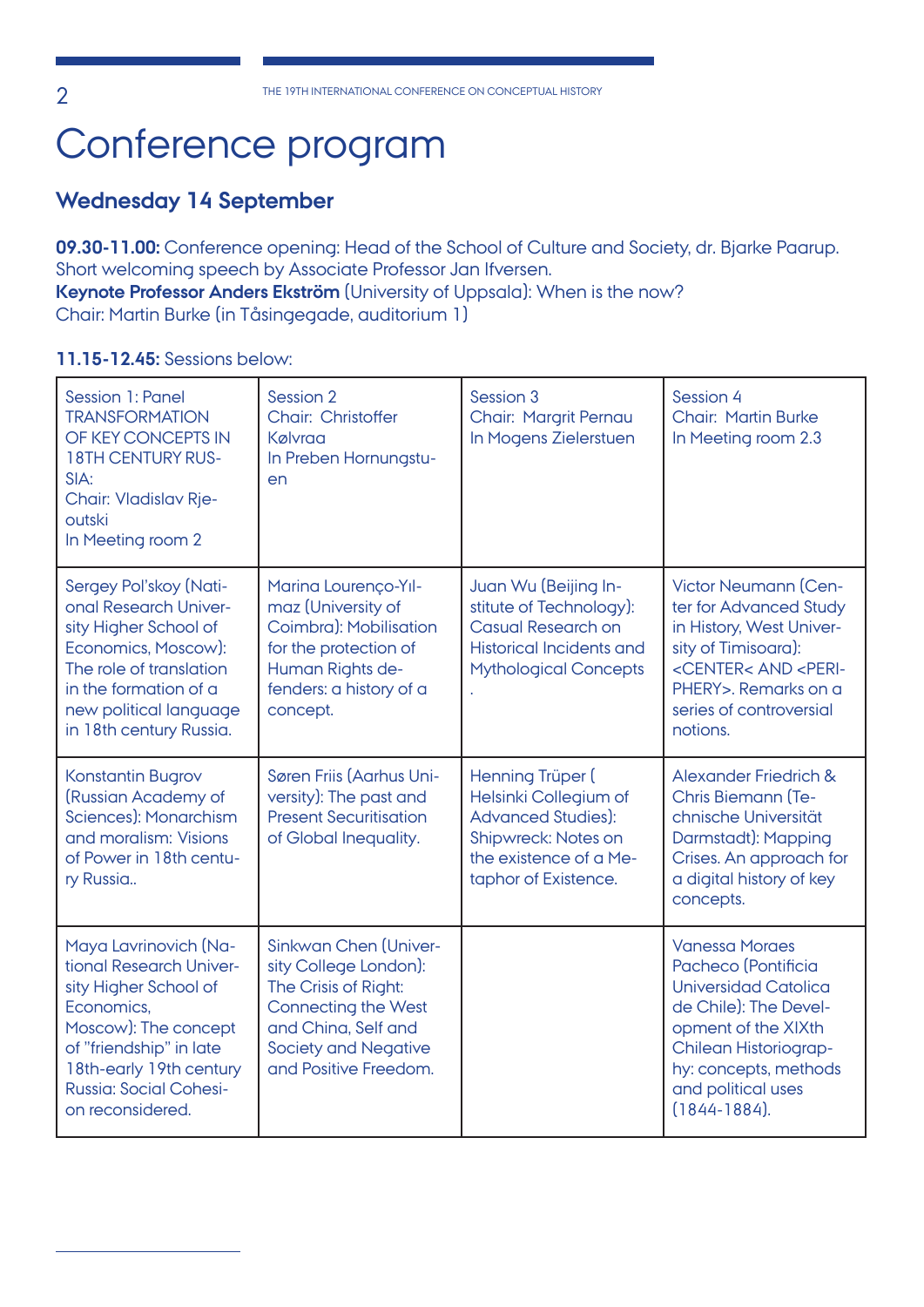## Conference program

## **Wednesday 14 September**

**09.30-11.00:** Conference opening: Head of the School of Culture and Society, dr. Bjarke Paarup. Short welcoming speech by Associate Professor Jan Ifversen. **Keynote Professor Anders Ekström** (University of Uppsala): When is the now?

Chair: Martin Burke (in Tåsingegade, auditorium 1)

## **11.15-12.45:** Sessions below:

| <b>Session 1: Panel</b><br><b>TRANSFORMATION</b><br>OF KEY CONCEPTS IN<br><b>18TH CENTURY RUS-</b><br>SIA:<br><b>Chair: Vladislav Rje-</b><br>outski<br>In Meeting room 2                                                  | Session 2<br>Chair: Christoffer<br>Kølvraa<br>In Preben Hornungstu-<br>en                                                                                                                  | Session 3<br><b>Chair: Margrit Pernau</b><br>In Mogens Zielerstuen                                                                              | Session 4<br><b>Chair: Martin Burke</b><br>In Meeting room 2.3                                                                                                                                                           |
|----------------------------------------------------------------------------------------------------------------------------------------------------------------------------------------------------------------------------|--------------------------------------------------------------------------------------------------------------------------------------------------------------------------------------------|-------------------------------------------------------------------------------------------------------------------------------------------------|--------------------------------------------------------------------------------------------------------------------------------------------------------------------------------------------------------------------------|
| Sergey Pol'skoy (Nati-<br>onal Research Univer-<br>sity Higher School of<br>Economics, Moscow):<br>The role of translation<br>in the formation of a<br>new political language<br>in 18th century Russia.                   | Marina Lourenço-Yıl-<br>maz (University of<br>Coimbra): Mobilisation<br>for the protection of<br>Human Rights de-<br>fenders: a history of a<br>concept.                                   | Juan Wu (Beijing In-<br>stitute of Technology):<br><b>Casual Research on</b><br><b>Historical Incidents and</b><br><b>Mythological Concepts</b> | Victor Neumann (Cen-<br>ter for Advanced Study<br>in History, West Univer-<br>sity of Timisoara):<br><center< <peri-<br="" and="">PHERY&gt;, Remarks on a<br/>series of controversial<br/>notions.</center<>             |
| <b>Konstantin Bugrov</b><br>(Russian Academy of<br>Sciences): Monarchism<br>and moralism: Visions<br>of Power in 18th centu-<br>ry Russia                                                                                  | Søren Friis (Aarhus Uni-<br>versity): The past and<br><b>Present Securitisation</b><br>of Global Inequality.                                                                               | Henning Trüper (<br>Helsinki Collegium of<br><b>Advanced Studies):</b><br>Shipwreck: Notes on<br>the existence of a Me-<br>taphor of Existence. | <b>Alexander Friedrich &amp;</b><br><b>Chris Biemann (Te-</b><br>chnische Universität<br>Darmstadt): Mapping<br>Crises. An approach for<br>a digital history of key<br>concepts.                                         |
| Maya Lavrinovich (Na-<br>tional Research Univer-<br>sity Higher School of<br>Economics,<br>Moscow): The concept<br>of "friendship" in late<br>18th-early 19th century<br><b>Russia: Social Cohesi-</b><br>on reconsidered. | <b>Sinkwan Chen (Univer-</b><br>sity College London):<br>The Crisis of Right:<br><b>Connecting the West</b><br>and China, Self and<br><b>Society and Negative</b><br>and Positive Freedom. |                                                                                                                                                 | <b>Vanessa Moraes</b><br>Pacheco (Pontificia<br><b>Universidad Catolica</b><br>de Chile): The Devel-<br>opment of the XIXth<br>Chilean Historiograp-<br>hy: concepts, methods<br>and political uses<br>$(1844 - 1884)$ . |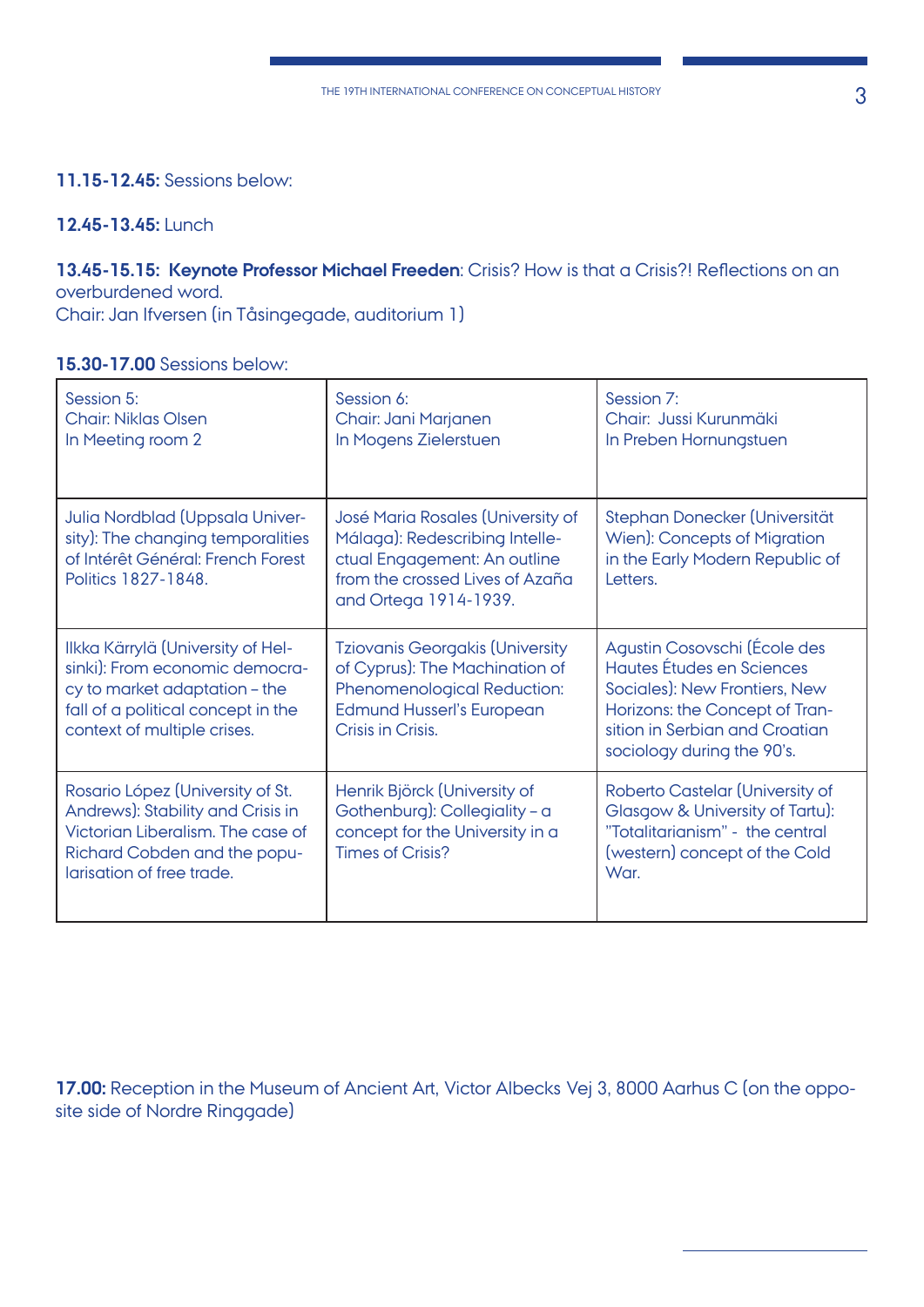## **11.15-12.45:** Sessions below:

## **12.45-13.45:** Lunch

#### **13.45-15.15: Keynote Professor Michael Freeden**: Crisis? How is that a Crisis?! Reflections on an overburdened word.

Chair: Jan Ifversen (in Tåsingegade, auditorium 1)

#### **15.30-17.00** Sessions below:

| Session 5:<br><b>Chair: Niklas Olsen</b><br>In Meeting room 2                                                                                                             | Session 6:<br>Chair: Jani Marjanen<br>In Mogens Zielerstuen                                                                                                      | Session 7:<br>Chair: Jussi Kurunmäki<br>In Preben Hornungstuen                                                                                                                               |
|---------------------------------------------------------------------------------------------------------------------------------------------------------------------------|------------------------------------------------------------------------------------------------------------------------------------------------------------------|----------------------------------------------------------------------------------------------------------------------------------------------------------------------------------------------|
| Julia Nordblad (Uppsala Univer-<br>sity): The changing temporalities<br>of Intérêt Général: French Forest<br>Politics 1827-1848.                                          | José Maria Rosales (University of<br>Málaga): Redescribing Intelle-<br>ctual Engagement: An outline<br>from the crossed Lives of Azaña<br>and Ortega 1914-1939.  | Stephan Donecker (Universität<br>Wien): Concepts of Migration<br>in the Early Modern Republic of<br>Letters.                                                                                 |
| Ilkka Kärrylä (University of Hel-<br>sinki): From economic democra-<br>cy to market adaptation - the<br>fall of a political concept in the<br>context of multiple crises. | <b>Tziovanis Georgakis (University</b><br>of Cyprus): The Machination of<br>Phenomenological Reduction:<br><b>Edmund Husserl's European</b><br>Crisis in Crisis. | Agustin Cosovschi (École des<br>Hautes Études en Sciences<br>Sociales): New Frontiers, New<br>Horizons: the Concept of Tran-<br>sition in Serbian and Croatian<br>sociology during the 90's. |
| Rosario López (University of St.<br>Andrews): Stability and Crisis in<br>Victorian Liberalism. The case of<br>Richard Cobden and the popu-<br>larisation of free trade.   | Henrik Björck (University of<br>Gothenburg): Collegiality - a<br>concept for the University in a<br><b>Times of Crisis?</b>                                      | Roberto Castelar (University of<br>Glasgow & University of Tartu):<br>"Totalitarianism" - the central<br>(western) concept of the Cold<br>War.                                               |

**17.00:** Reception in the Museum of Ancient Art, Victor Albecks Vej 3, 8000 Aarhus C (on the opposite side of Nordre Ringgade)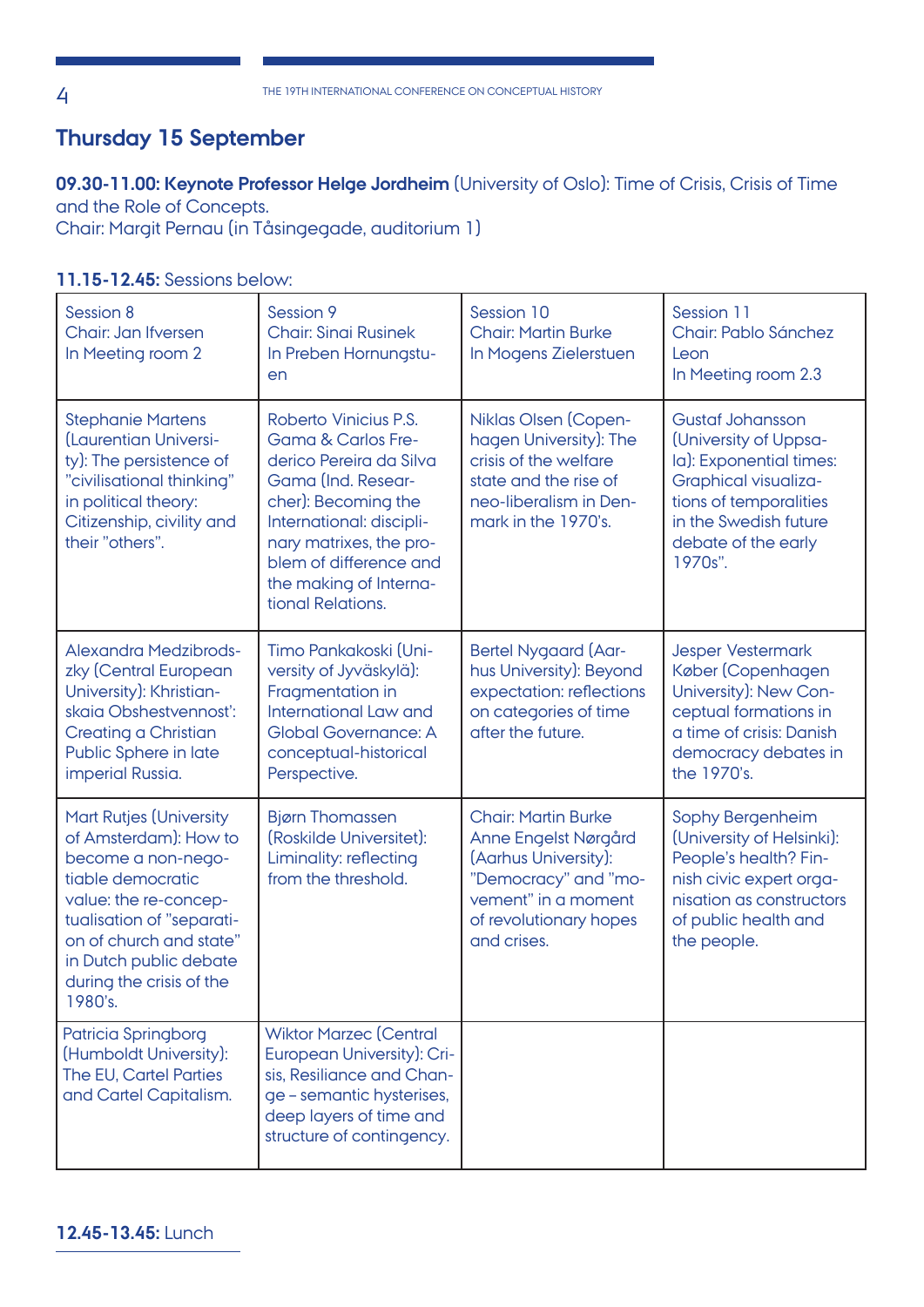## **Thursday 15 September**

## **09.30-11.00: Keynote Professor Helge Jordheim** (University of Oslo): Time of Crisis, Crisis of Time and the Role of Concepts.

Chair: Margit Pernau (in Tåsingegade, auditorium 1)

**11.15-12.45:** Sessions below:

| Session 8<br>Chair: Jan Ifversen<br>In Meeting room 2                                                                                                                                                                                                | Session 9<br><b>Chair: Sinai Rusinek</b><br>In Preben Hornungstu-<br>en                                                                                                                                                                                        | Session 10<br><b>Chair: Martin Burke</b><br>In Mogens Zielerstuen                                                                                                  | Session 11<br>Chair: Pablo Sánchez<br>Leon<br>In Meeting room 2.3                                                                                                                        |
|------------------------------------------------------------------------------------------------------------------------------------------------------------------------------------------------------------------------------------------------------|----------------------------------------------------------------------------------------------------------------------------------------------------------------------------------------------------------------------------------------------------------------|--------------------------------------------------------------------------------------------------------------------------------------------------------------------|------------------------------------------------------------------------------------------------------------------------------------------------------------------------------------------|
| <b>Stephanie Martens</b><br>(Laurentian Universi-<br>ty): The persistence of<br>"civilisational thinking"<br>in political theory:<br>Citizenship, civility and<br>their "others".                                                                    | Roberto Vinicius P.S.<br><b>Gama &amp; Carlos Fre-</b><br>derico Pereira da Silva<br>Gama (Ind. Resear-<br>cher): Becoming the<br>International: discipli-<br>nary matrixes, the pro-<br>blem of difference and<br>the making of Interna-<br>tional Relations. | Niklas Olsen (Copen-<br>hagen University): The<br>crisis of the welfare<br>state and the rise of<br>neo-liberalism in Den-<br>mark in the 1970's.                  | <b>Gustaf Johansson</b><br>(University of Uppsa-<br>la): Exponential times:<br>Graphical visualiza-<br>tions of temporalities<br>in the Swedish future<br>debate of the early<br>1970s". |
| <b>Alexandra Medzibrods-</b><br>zky (Central European<br>University): Khristian-<br>skaia Obshestvennosť:<br>Creating a Christian<br>Public Sphere in late<br>imperial Russia.                                                                       | Timo Pankakoski (Uni-<br>versity of Jyväskylä):<br>Fragmentation in<br>International Law and<br><b>Global Governance: A</b><br>conceptual-historical<br>Perspective.                                                                                           | <b>Bertel Nygaard (Aar-</b><br>hus University): Beyond<br>expectation: reflections<br>on categories of time<br>after the future.                                   | <b>Jesper Vestermark</b><br>Køber (Copenhagen<br>University): New Con-<br>ceptual formations in<br>a time of crisis: Danish<br>democracy debates in<br>the 1970's.                       |
| <b>Mart Rutjes (University</b><br>of Amsterdam): How to<br>become a non-nego-<br>tiable democratic<br>value: the re-concep-<br>tualisation of "separati-<br>on of church and state"<br>in Dutch public debate<br>during the crisis of the<br>1980's. | <b>Bjørn Thomassen</b><br>(Roskilde Universitet):<br>Liminality: reflecting<br>from the threshold.                                                                                                                                                             | <b>Chair: Martin Burke</b><br>Anne Engelst Nørgård<br>(Aarhus University):<br>"Democracy" and "mo-<br>vement" in a moment<br>of revolutionary hopes<br>and crises. | Sophy Bergenheim<br>(University of Helsinki):<br>People's health? Fin-<br>nish civic expert orga-<br>nisation as constructors<br>of public health and<br>the people.                     |
| Patricia Springborg<br>(Humboldt University):<br>The EU, Cartel Parties<br>and Cartel Capitalism.                                                                                                                                                    | <b>Wiktor Marzec (Central</b><br>European University): Cri-<br>sis, Resiliance and Chan-<br>ge - semantic hysterises,<br>deep layers of time and<br>structure of contingency.                                                                                  |                                                                                                                                                                    |                                                                                                                                                                                          |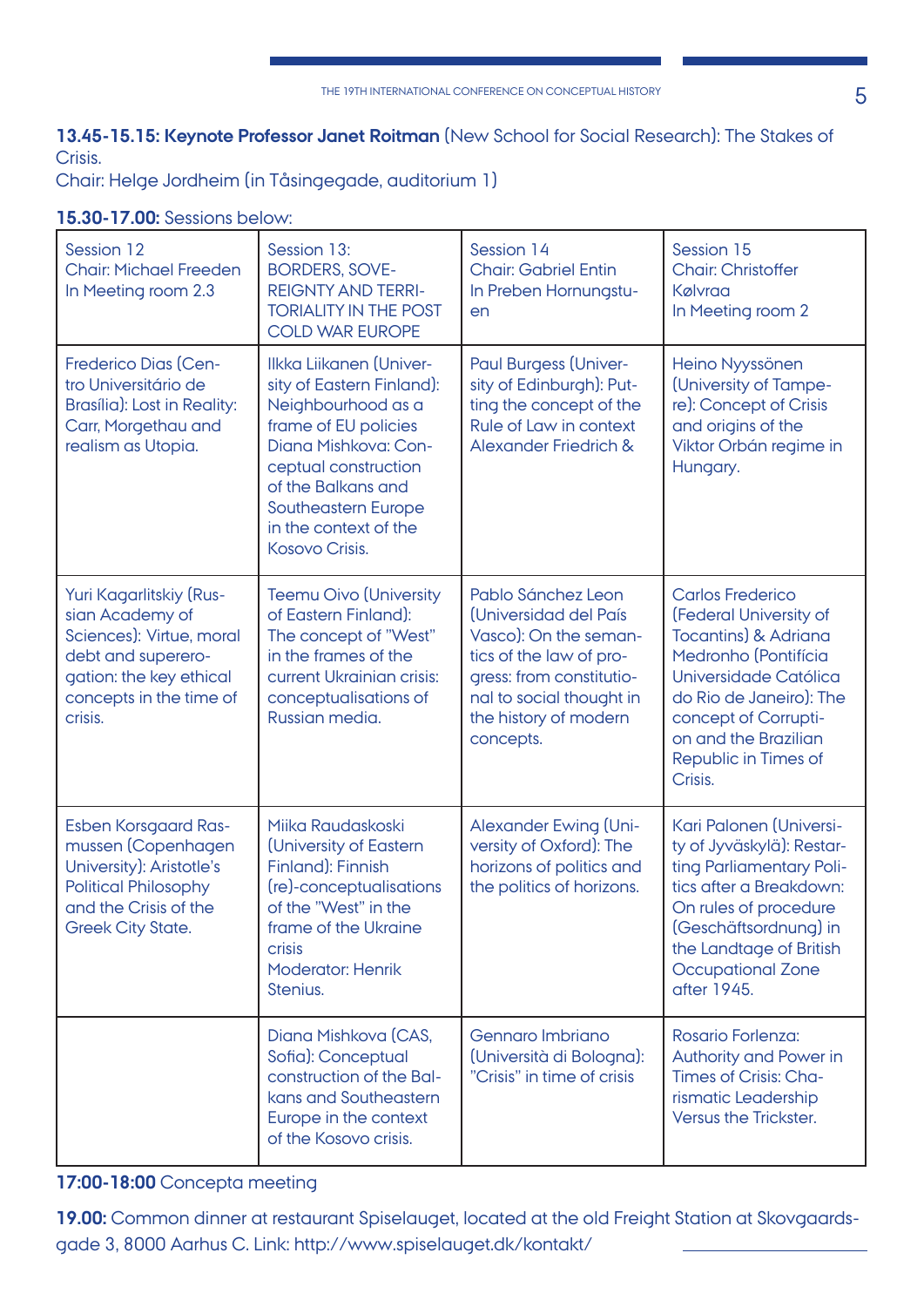## **13.45-15.15: Keynote Professor Janet Roitman** (New School for Social Research): The Stakes of Crisis.

Chair: Helge Jordheim (in Tåsingegade, auditorium 1)

#### **15.30-17.00:** Sessions below:

| Session 12<br><b>Chair: Michael Freeden</b><br>In Meeting room 2.3                                                                                                | Session 13:<br><b>BORDERS, SOVE-</b><br><b>REIGNTY AND TERRI-</b><br><b>TORIALITY IN THE POST</b><br><b>COLD WAR EUROPE</b>                                                                                                                | Session 14<br><b>Chair: Gabriel Entin</b><br>In Preben Hornungstu-<br>en                                                                                                                      | Session 15<br><b>Chair: Christoffer</b><br>Kølvraa<br>In Meeting room 2                                                                                                                                                                             |
|-------------------------------------------------------------------------------------------------------------------------------------------------------------------|--------------------------------------------------------------------------------------------------------------------------------------------------------------------------------------------------------------------------------------------|-----------------------------------------------------------------------------------------------------------------------------------------------------------------------------------------------|-----------------------------------------------------------------------------------------------------------------------------------------------------------------------------------------------------------------------------------------------------|
| <b>Frederico Dias (Cen-</b><br>tro Universitário de<br>Brasília): Lost in Reality:<br>Carr, Morgethau and<br>realism as Utopia.                                   | Ilkka Liikanen (Univer-<br>sity of Eastern Finland):<br>Neighbourhood as a<br>frame of EU policies<br>Diana Mishkova: Con-<br>ceptual construction<br>of the Balkans and<br>Southeastern Europe<br>in the context of the<br>Kosovo Crisis. | <b>Paul Burgess (Univer-</b><br>sity of Edinburgh): Put-<br>ting the concept of the<br>Rule of Law in context<br><b>Alexander Friedrich &amp;</b>                                             | Heino Nyyssönen<br>(University of Tampe-<br>re): Concept of Crisis<br>and origins of the<br>Viktor Orbán regime in<br>Hungary.                                                                                                                      |
| Yuri Kagarlitskiy (Rus-<br>sian Academy of<br>Sciences): Virtue, moral<br>debt and superero-<br>gation: the key ethical<br>concepts in the time of<br>crisis.     | <b>Teemu Oivo (University</b><br>of Eastern Finland):<br>The concept of "West"<br>in the frames of the<br>current Ukrainian crisis:<br>conceptualisations of<br>Russian media.                                                             | Pablo Sánchez Leon<br>(Universidad del País<br>Vasco): On the seman-<br>tics of the law of pro-<br>gress: from constitutio-<br>nal to social thought in<br>the history of modern<br>concepts. | <b>Carlos Frederico</b><br>(Federal University of<br><b>Tocantins) &amp; Adriana</b><br>Medronho (Pontifícia<br>Universidade Católica<br>do Rio de Janeiro): The<br>concept of Corrupti-<br>on and the Brazilian<br>Republic in Times of<br>Crisis. |
| <b>Esben Korsgaard Ras-</b><br>mussen (Copenhagen<br>University): Aristotle's<br><b>Political Philosophy</b><br>and the Crisis of the<br><b>Greek City State.</b> | Miika Raudaskoski<br>(University of Eastern<br>Finland): Finnish<br>(re)-conceptualisations<br>of the "West" in the<br>frame of the Ukraine<br><b>crisis</b><br><b>Moderator: Henrik</b><br>Stenius.                                       | Alexander Ewing (Uni-<br>versity of Oxford): The<br>horizons of politics and<br>the politics of horizons.                                                                                     | Kari Palonen (Universi-<br>ty of Jyväskylä): Restar-<br>ting Parliamentary Poli-<br>tics after a Breakdown:<br>On rules of procedure<br>(Geschäftsordnung) in<br>the Landtage of British<br><b>Occupational Zone</b><br>after 1945.                 |
|                                                                                                                                                                   | Diana Mishkova (CAS,<br>Sofia): Conceptual<br>construction of the Bal-<br>kans and Southeastern<br>Europe in the context<br>of the Kosovo crisis.                                                                                          | Gennaro Imbriano<br>(Università di Bologna):<br>"Crisis" in time of crisis                                                                                                                    | Rosario Forlenza:<br>Authority and Power in<br>Times of Crisis: Cha-<br>rismatic Leadership<br>Versus the Trickster.                                                                                                                                |

## **17:00-18:00** Concepta meeting

**19.00:** Common dinner at restaurant Spiselauget, located at the old Freight Station at Skovgaardsgade 3, 8000 Aarhus C. Link: http://www.spiselauget.dk/kontakt/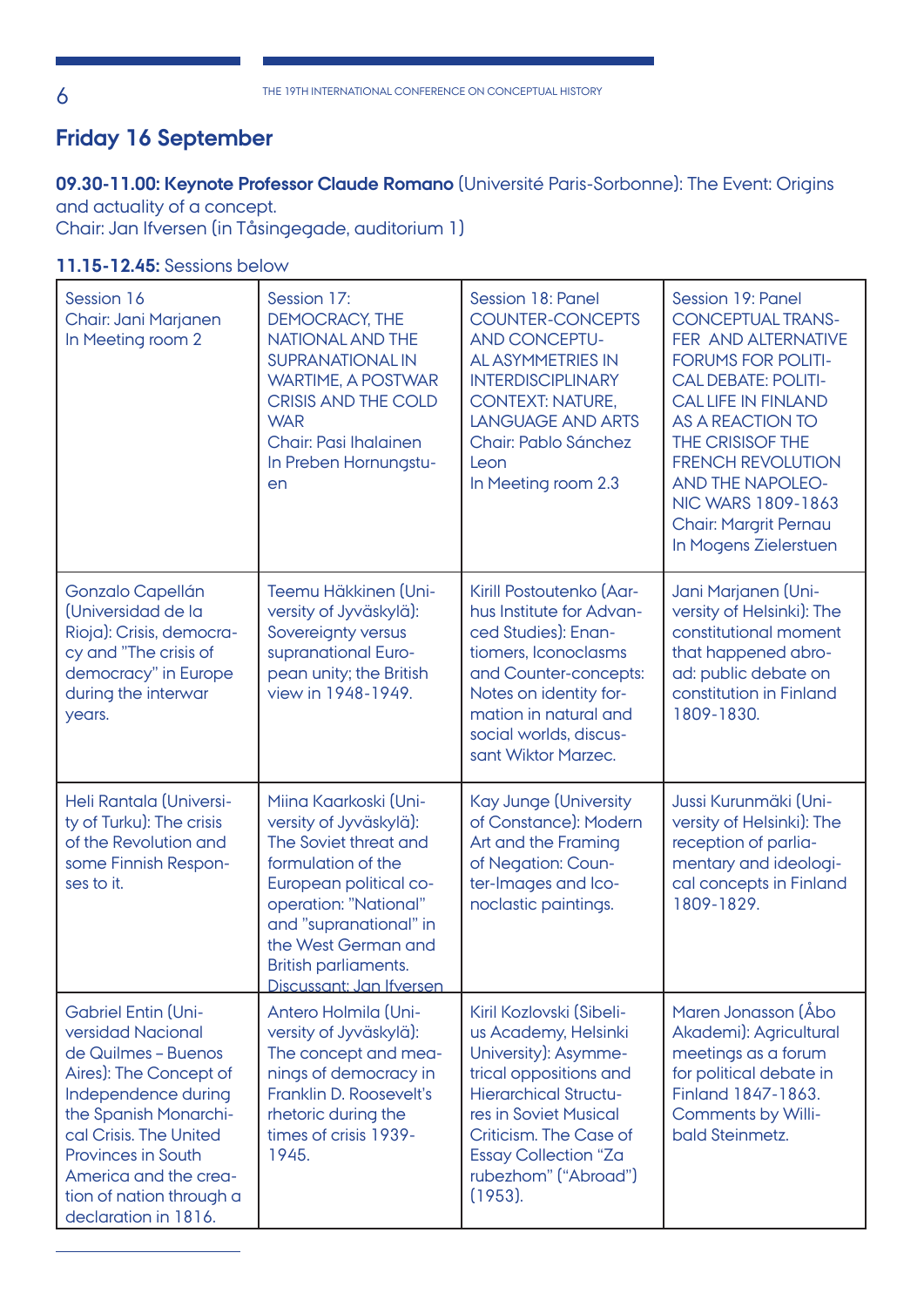## **Friday 16 September**

## **09.30-11.00: Keynote Professor Claude Romano** (Université Paris-Sorbonne): The Event: Origins and actuality of a concept.

Chair: Jan Ifversen (in Tåsingegade, auditorium 1)

## **11.15-12.45:** Sessions below

| Session 16<br>Chair: Jani Marjanen<br>In Meeting room 2                                                                                                                                                                                                                              | Session 17:<br><b>DEMOCRACY, THE</b><br>NATIONAL AND THE<br><b>SUPRANATIONAL IN</b><br><b>WARTIME, A POSTWAR</b><br><b>CRISIS AND THE COLD</b><br><b>WAR</b><br><b>Chair: Pasi Ihalainen</b><br>In Preben Hornungstu-<br>en                            | Session 18: Panel<br><b>COUNTER-CONCEPTS</b><br><b>AND CONCEPTU-</b><br>AL ASYMMETRIES IN<br><b>INTERDISCIPLINARY</b><br><b>CONTEXT: NATURE,</b><br><b>LANGUAGE AND ARTS</b><br>Chair: Pablo Sánchez<br>Leon<br>In Meeting room 2.3                        | Session 19: Panel<br><b>CONCEPTUAL TRANS-</b><br>FER AND ALTERNATIVE<br><b>FORUMS FOR POLITI-</b><br><b>CALDEBATE: POLITI-</b><br><b>CALLIFE IN FINLAND</b><br>AS A REACTION TO<br>THE CRISISOF THE<br><b>FRENCH REVOLUTION</b><br><b>AND THE NAPOLEO-</b><br>NIC WARS 1809-1863<br><b>Chair: Margrit Pernau</b><br>In Mogens Zielerstuen |
|--------------------------------------------------------------------------------------------------------------------------------------------------------------------------------------------------------------------------------------------------------------------------------------|--------------------------------------------------------------------------------------------------------------------------------------------------------------------------------------------------------------------------------------------------------|------------------------------------------------------------------------------------------------------------------------------------------------------------------------------------------------------------------------------------------------------------|-------------------------------------------------------------------------------------------------------------------------------------------------------------------------------------------------------------------------------------------------------------------------------------------------------------------------------------------|
| Gonzalo Capellán<br>(Universidad de la<br>Rioja): Crisis, democra-<br>cy and "The crisis of<br>democracy" in Europe<br>during the interwar<br>years.                                                                                                                                 | Teemu Häkkinen (Uni-<br>versity of Jyväskylä):<br>Sovereignty versus<br>supranational Euro-<br>pean unity; the British<br>view in 1948-1949.                                                                                                           | Kirill Postoutenko (Aar-<br>hus Institute for Advan-<br>ced Studies): Enan-<br>tiomers, Iconoclasms<br>and Counter-concepts:<br>Notes on identity for-<br>mation in natural and<br>social worlds, discus-<br>sant Wiktor Marzec.                           | Jani Marjanen (Uni-<br>versity of Helsinki): The<br>constitutional moment<br>that happened abro-<br>ad: public debate on<br>constitution in Finland<br>1809-1830.                                                                                                                                                                         |
| Heli Rantala (Universi-<br>ty of Turku): The crisis<br>of the Revolution and<br>some Finnish Respon-<br>ses to it.                                                                                                                                                                   | Miina Kaarkoski (Uni-<br>versity of Jyväskylä):<br>The Soviet threat and<br>formulation of the<br>European political co-<br>operation: "National"<br>and "supranational" in<br>the West German and<br>British parliaments.<br>Discussant: Jan Ifversen | <b>Kay Junge (University</b><br>of Constance): Modern<br>Art and the Framing<br>of Negation: Coun-<br>ter-Images and Ico-<br>noclastic paintings.                                                                                                          | Jussi Kurunmäki (Uni-<br>versity of Helsinki): The<br>reception of parlia-<br>mentary and ideologi-<br>cal concepts in Finland<br>1809-1829.                                                                                                                                                                                              |
| <b>Gabriel Entin (Uni-</b><br>versidad Nacional<br>de Quilmes - Buenos<br>Aires): The Concept of<br>Independence during<br>the Spanish Monarchi-<br>cal Crisis. The United<br><b>Provinces in South</b><br>America and the crea-<br>tion of nation through a<br>declaration in 1816. | Antero Holmila (Uni-<br>versity of Jyväskylä):<br>The concept and mea-<br>nings of democracy in<br>Franklin D. Roosevelt's<br>rhetoric during the<br>times of crisis 1939-<br>1945.                                                                    | Kiril Kozlovski (Sibeli-<br>us Academy, Helsinki<br>University): Asymme-<br>trical oppositions and<br><b>Hierarchical Structu-</b><br>res in Soviet Musical<br>Criticism. The Case of<br><b>Essay Collection "Za</b><br>rubezhom" ("Abroad")<br>$(1953)$ . | Maren Jonasson (Åbo<br>Akademi): Agricultural<br>meetings as a forum<br>for political debate in<br>Finland 1847-1863.<br><b>Comments by Willi-</b><br>bald Steinmetz.                                                                                                                                                                     |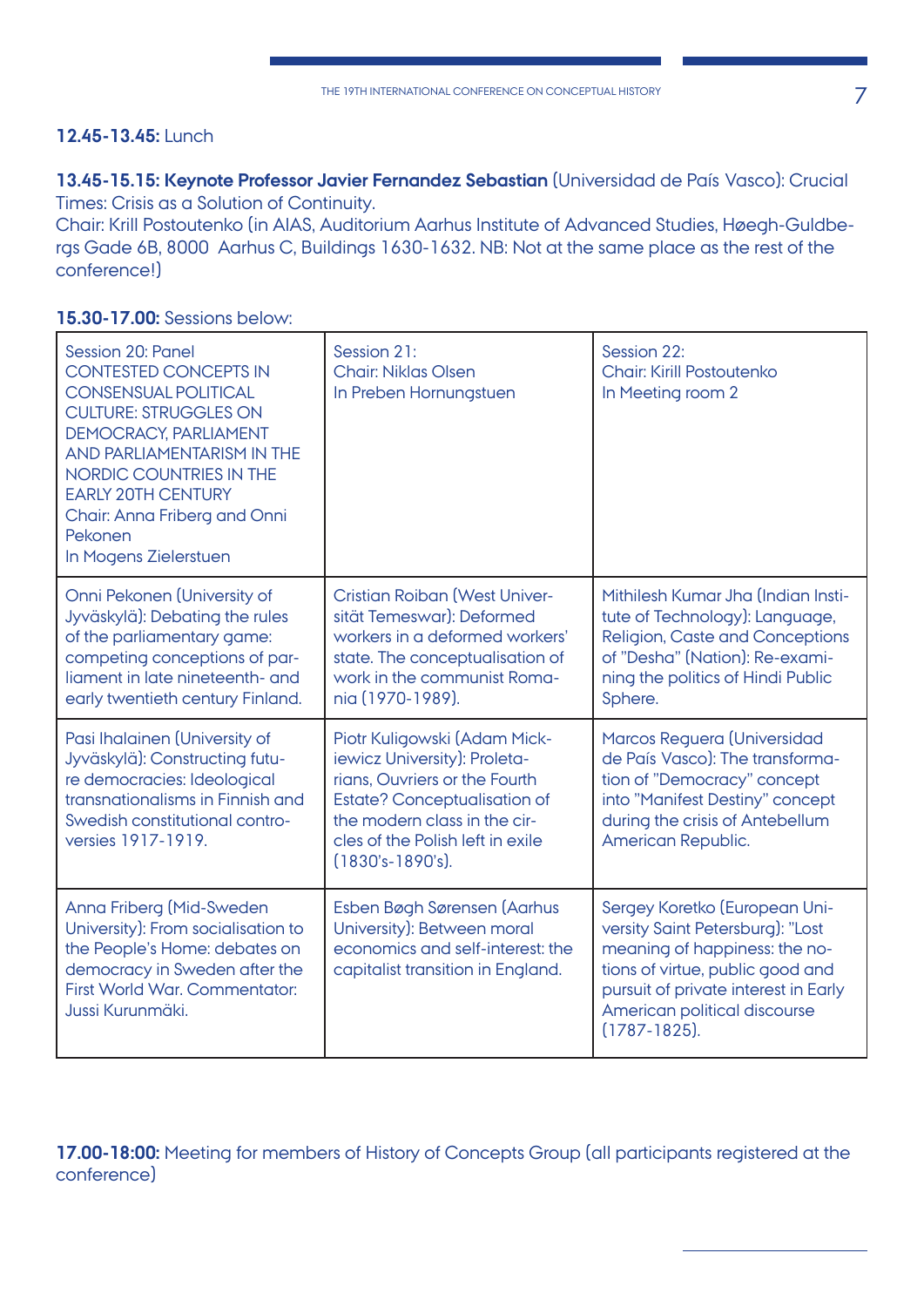## **12.45-13.45:** Lunch

**13.45-15.15: Keynote Professor Javier Fernandez Sebastian** (Universidad de País Vasco): Crucial Times: Crisis as a Solution of Continuity.

Chair: Krill Postoutenko (in AIAS, Auditorium Aarhus Institute of Advanced Studies, Høegh-Guldbergs Gade 6B, 8000 Aarhus C, Buildings 1630-1632. NB: Not at the same place as the rest of the conference!)

| Session 20: Panel<br><b>CONTESTED CONCEPTS IN</b><br><b>CONSENSUAL POLITICAL</b><br><b>CULTURE: STRUGGLES ON</b><br>DEMOCRACY, PARLIAMENT<br>AND PARLIAMENTARISM IN THE<br>NORDIC COUNTRIES IN THE<br><b>EARLY 20TH CENTURY</b><br>Chair: Anna Friberg and Onni<br>Pekonen<br>In Mogens Zielerstuen | Session 21:<br><b>Chair: Niklas Olsen</b><br>In Preben Hornungstuen                                                                                                                                                               | Session 22:<br><b>Chair: Kirill Postoutenko</b><br>In Meeting room 2                                                                                                                                                                |
|-----------------------------------------------------------------------------------------------------------------------------------------------------------------------------------------------------------------------------------------------------------------------------------------------------|-----------------------------------------------------------------------------------------------------------------------------------------------------------------------------------------------------------------------------------|-------------------------------------------------------------------------------------------------------------------------------------------------------------------------------------------------------------------------------------|
| Onni Pekonen (University of<br>Jyväskylä): Debating the rules<br>of the parliamentary game:<br>competing conceptions of par-<br>liament in late nineteenth- and<br>early twentieth century Finland.                                                                                                 | <b>Cristian Roiban (West Univer-</b><br>sität Temeswar): Deformed<br>workers in a deformed workers'<br>state. The conceptualisation of<br>work in the communist Roma-<br>nia (1970-1989).                                         | Mithilesh Kumar Jha (Indian Insti-<br>tute of Technology): Language,<br><b>Religion, Caste and Conceptions</b><br>of "Desha" (Nation): Re-exami-<br>ning the politics of Hindi Public<br>Sphere.                                    |
| Pasi Ihalainen (University of<br>Jyväskylä): Constructing futu-<br>re democracies: Ideological<br>transnationalisms in Finnish and<br>Swedish constitutional contro-<br>versies 1917-1919.                                                                                                          | Piotr Kuligowski (Adam Mick-<br>iewicz University): Proleta-<br>rians, Ouvriers or the Fourth<br><b>Estate? Conceptualisation of</b><br>the modern class in the cir-<br>cles of the Polish left in exile<br>$(1830's - 1890's)$ . | Marcos Reguera (Universidad<br>de País Vasco): The transforma-<br>tion of "Democracy" concept<br>into "Manifest Destiny" concept<br>during the crisis of Antebellum<br>American Republic.                                           |
| Anna Friberg (Mid-Sweden<br>University): From socialisation to<br>the People's Home: debates on<br>democracy in Sweden after the<br>First World War. Commentator:<br>Jussi Kurunmäki.                                                                                                               | Esben Bøgh Sørensen (Aarhus<br>University): Between moral<br>economics and self-interest; the<br>capitalist transition in England.                                                                                                | Sergey Koretko (European Uni-<br>versity Saint Petersburg): "Lost<br>meaning of happiness: the no-<br>tions of virtue, public good and<br>pursuit of private interest in Early<br>American political discourse<br>$(1787 - 1825)$ . |

**15.30-17.00:** Sessions below:

**17.00-18:00:** Meeting for members of History of Concepts Group (all participants registered at the conference)